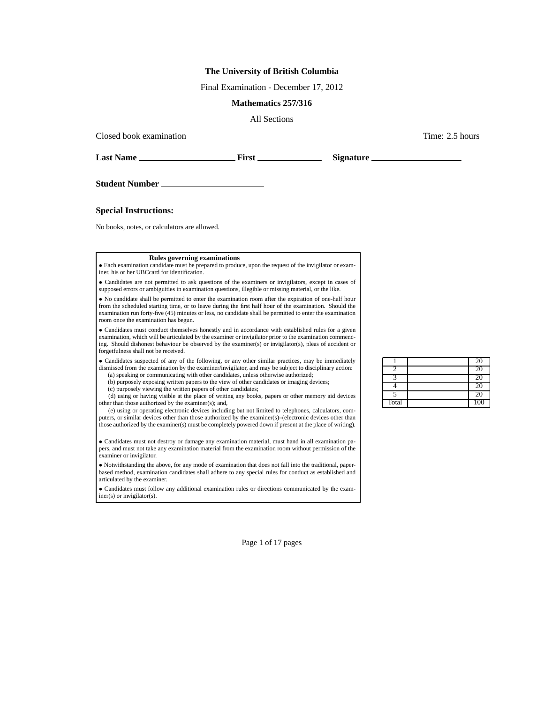### **The University of British Columbia**

Final Examination - December 17, 2012

### **Mathematics 257/316**

All Sections

Closed book examination  $\blacksquare$  2.5 hours  $\blacksquare$  Time: 2.5 hours  $\blacksquare$ 

**Last Name First Signature**

**Student Number**

**Special Instructions:**

No books, notes, or calculators are allowed.

#### **Rules governing examinations**

• Each examination candidate must be prepared to produce, upon the request of the invigilator or examiner, his or her UBCcard for identification.

• Candidates are not permitted to ask questions of the examiners or invigilators, except in cases of supposed errors or ambiguities in examination questions, illegible or missing material, or the like.

• No candidate shall be permitted to enter the examination room after the expiration of one-half hour from the scheduled starting time, or to leave during the first half hour of the examination. Should the examination run forty-five (45) minutes or less, no candidate shall be permitted to enter the examination room once the examination has begun.

• Candidates must conduct themselves honestly and in accordance with established rules for a given examination, which will be articulated by the examiner or invigilator prior to the examination commencing. Should dishonest behaviour be observed by the examiner(s) or invigilator(s), pleas of accident or forgetfulness shall not be received.

• Candidates suspected of any of the following, or any other similar practices, may be immediately dismissed from the examination by the examiner/invigilator, and may be subject to disciplinary action: (a) speaking or communicating with other candidates, unless otherwise authorized;

(b) purposely exposing written papers to the view of other candidates or imaging devices;

(c) purposely viewing the written papers of other candidates;

(d) using or having visible at the place of writing any books, papers or other memory aid devices other than those authorized by the examiner(s); and,

(e) using or operating electronic devices including but not limited to telephones, calculators, computers, or similar devices other than those authorized by the examiner(s)–(electronic devices other than those authorized by the examiner(s) must be completely powered down if present at the place of writing).

• Candidates must not destroy or damage any examination material, must hand in all examination papers, and must not take any examination material from the examination room without permission of the examiner or invigilator.

• Notwithstanding the above, for any mode of examination that does not fall into the traditional, paperbased method, examination candidates shall adhere to any special rules for conduct as established and articulated by the examiner.

• Candidates must follow any additional examination rules or directions communicated by the examiner(s) or invigilator(s).

|       | <b>20</b> |
|-------|-----------|
|       |           |
|       |           |
|       | 20        |
|       | 20        |
| Total | 100       |

Page 1 of 17 pages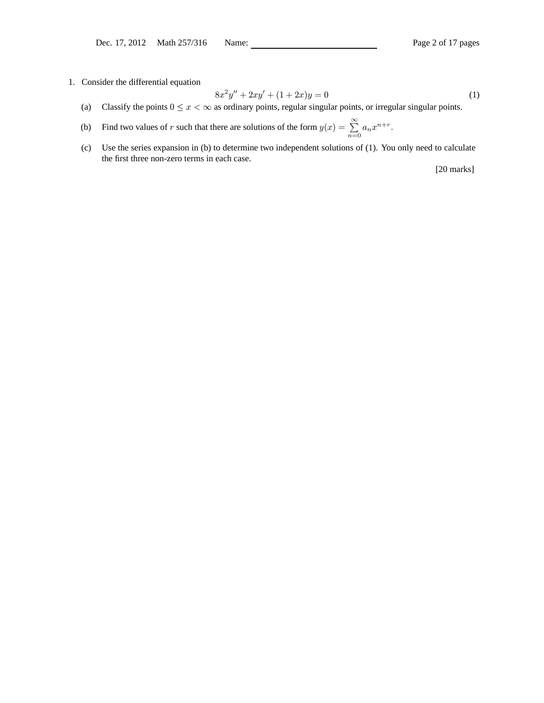1. Consider the differential equation

$$
8x^2y'' + 2xy' + (1+2x)y = 0
$$
\n(1)

- (a) Classify the points  $0 \le x < \infty$  as ordinary points, regular singular points, or irregular singular points.
- (b) Find two values of r such that there are solutions of the form  $y(x) = \sum_{r=1}^{\infty}$  $\sum_{n=0} a_n x^{n+r}.$
- (c) Use the series expansion in (b) to determine two independent solutions of (1). You only need to calculate the first three non-zero terms in each case.

[20 marks]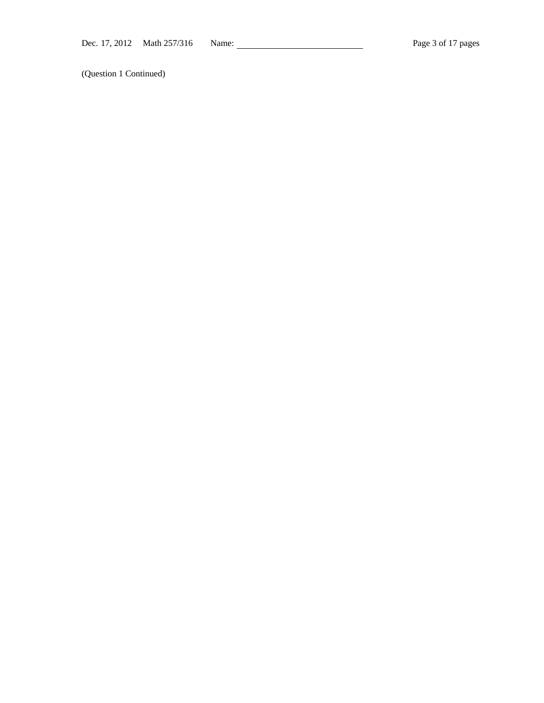(Question 1 Continued)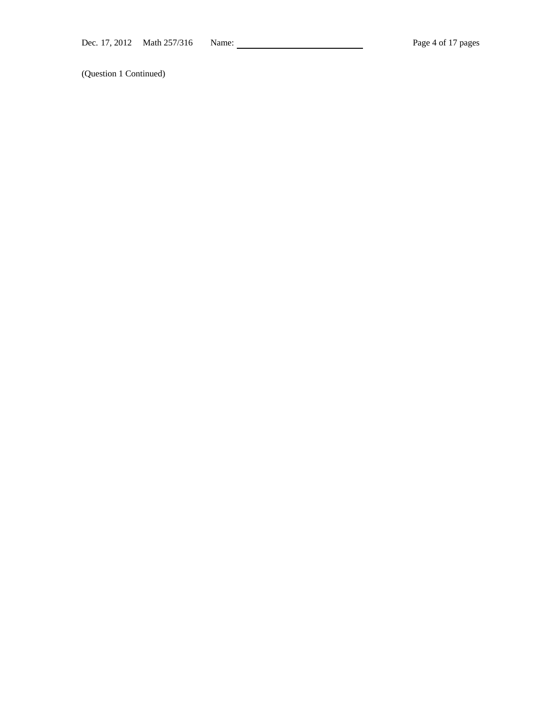(Question 1 Continued)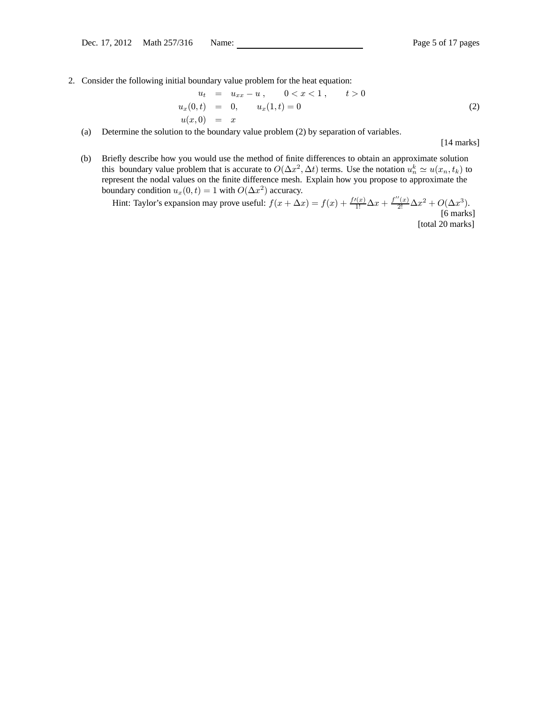2. Consider the following initial boundary value problem for the heat equation:

$$
u_t = u_{xx} - u, \t 0 < x < 1, \t t > 0
$$
  
\n
$$
u_x(0,t) = 0, \t u_x(1,t) = 0
$$
  
\n
$$
u(x,0) = x
$$
\n(2)

(a) Determine the solution to the boundary value problem (2) by separation of variables.

[14 marks]

(b) Briefly describe how you would use the method of finite differences to obtain an approximate solution this boundary value problem that is accurate to  $O(\Delta x^2, \Delta t)$  terms. Use the notation  $u_n^k \simeq u(x_n, t_k)$  to represent the nodal values on the finite difference mesh. Explain how you propose to approximate the boundary condition  $u_x(0, t) = 1$  with  $O(\Delta x^2)$  accuracy.

Hint: Taylor's expansion may prove useful:  $f(x + \Delta x) = f(x) + \frac{f'(x)}{1!} \Delta x + \frac{f''(x)}{2!} \Delta x^2 + O(\Delta x^3)$ . [6 marks]

[total 20 marks]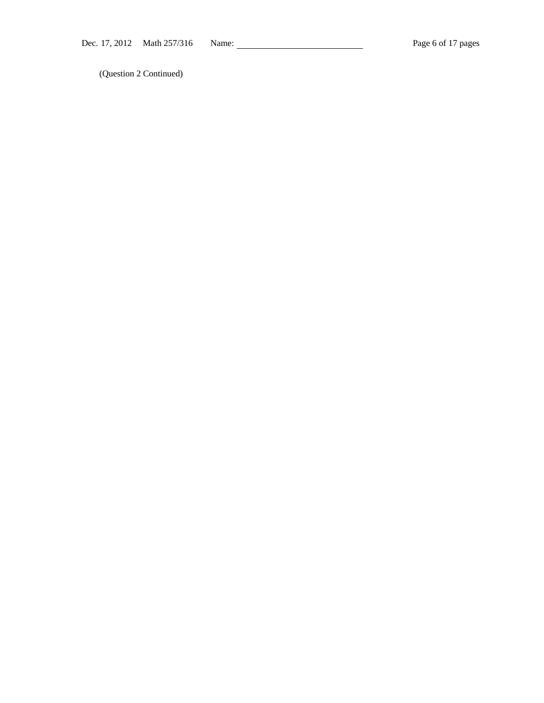(Question 2 Continued)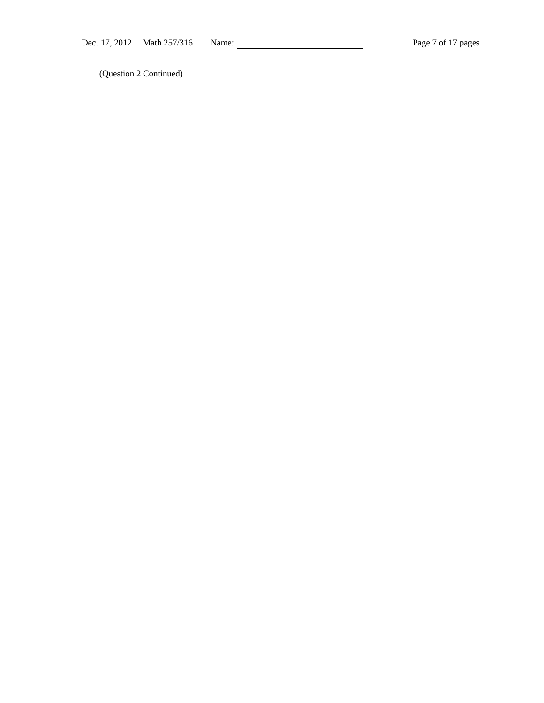(Question 2 Continued)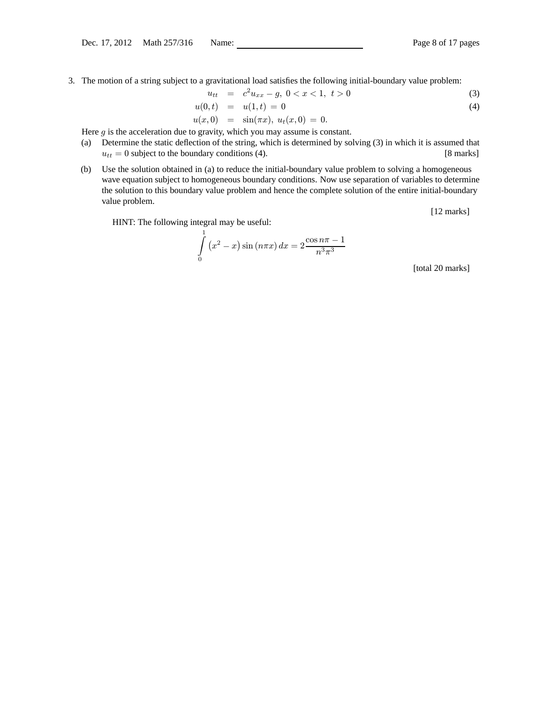3. The motion of a string subject to a gravitational load satisfies the following initial-boundary value problem:

$$
u_{tt} = c^2 u_{xx} - g, \ 0 < x < 1, \ t > 0 \tag{3}
$$

$$
u(0,t) = u(1,t) = 0 \tag{4}
$$

$$
u(x,0) = \sin(\pi x), u_t(x,0) = 0.
$$

Here  $g$  is the acceleration due to gravity, which you may assume is constant.

- (a) Determine the static deflection of the string, which is determined by solving (3) in which it is assumed that  $u_{tt} = 0$  subject to the boundary conditions (4). [8 marks]
- (b) Use the solution obtained in (a) to reduce the initial-boundary value problem to solving a homogeneous wave equation subject to homogeneous boundary conditions. Now use separation of variables to determine the solution to this boundary value problem and hence the complete solution of the entire initial-boundary value problem.

[12 marks]

HINT: The following integral may be useful:

$$
\int_{0}^{1} (x^{2} - x) \sin (n\pi x) dx = 2 \frac{\cos n\pi - 1}{n^{3}\pi^{3}}
$$

[total 20 marks]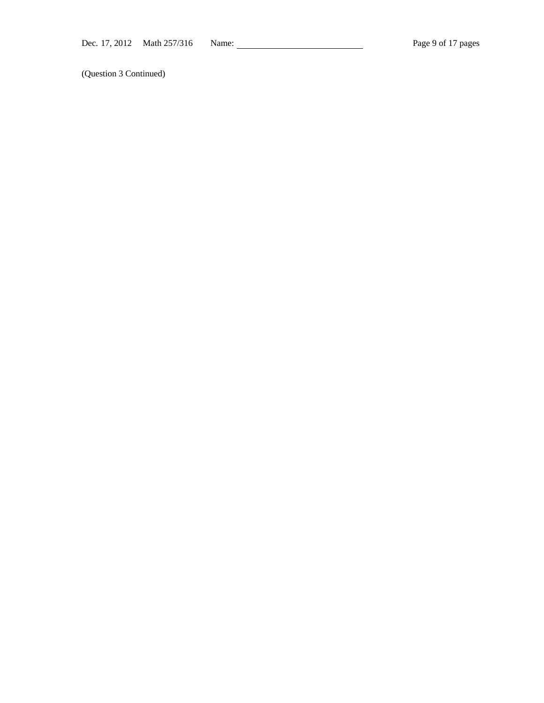(Question 3 Continued)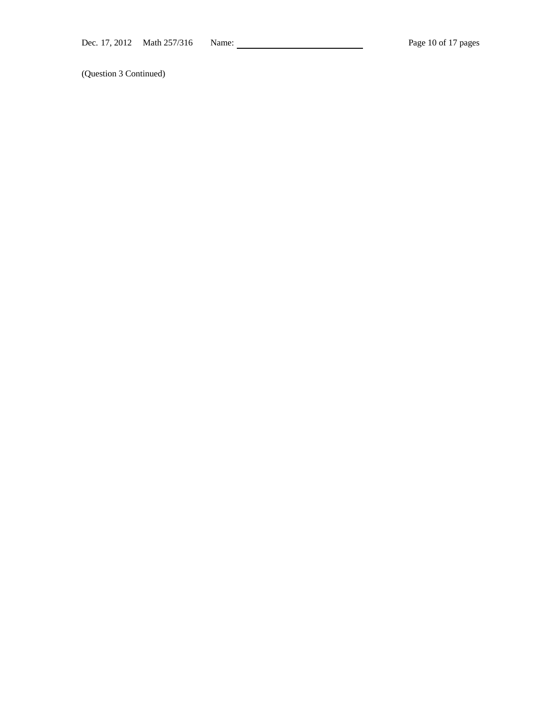(Question 3 Continued)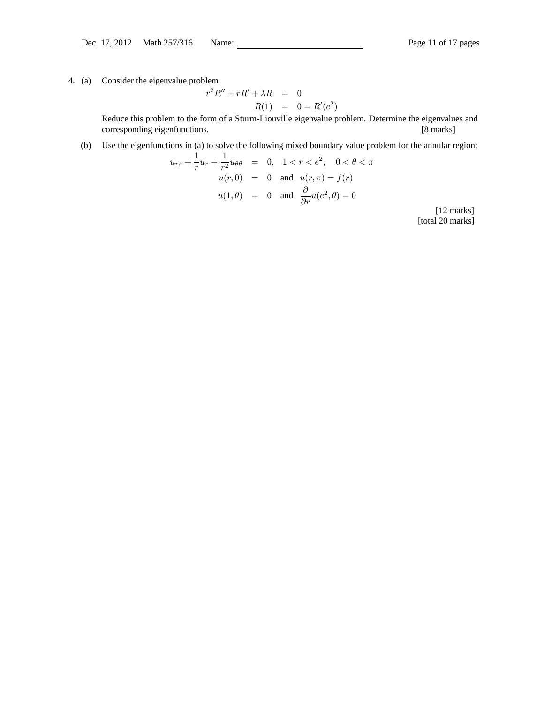# 4. (a) Consider the eigenvalue problem

$$
r2R'' + rR' + \lambda R = 0
$$
  

$$
R(1) = 0 = R'(e2)
$$

Reduce this problem to the form of a Sturm-Liouville eigenvalue problem. Determine the eigenvalues and corresponding eigenfunctions. [8 marks]

# (b) Use the eigenfunctions in (a) to solve the following mixed boundary value problem for the annular region:

$$
u_{rr} + \frac{1}{r}u_r + \frac{1}{r^2}u_{\theta\theta} = 0, \quad 1 < r < e^2, \quad 0 < \theta < \pi
$$
\n
$$
u(r, 0) = 0 \quad \text{and} \quad u(r, \pi) = f(r)
$$
\n
$$
u(1, \theta) = 0 \quad \text{and} \quad \frac{\partial}{\partial r}u(e^2, \theta) = 0
$$

[12 marks] [total 20 marks]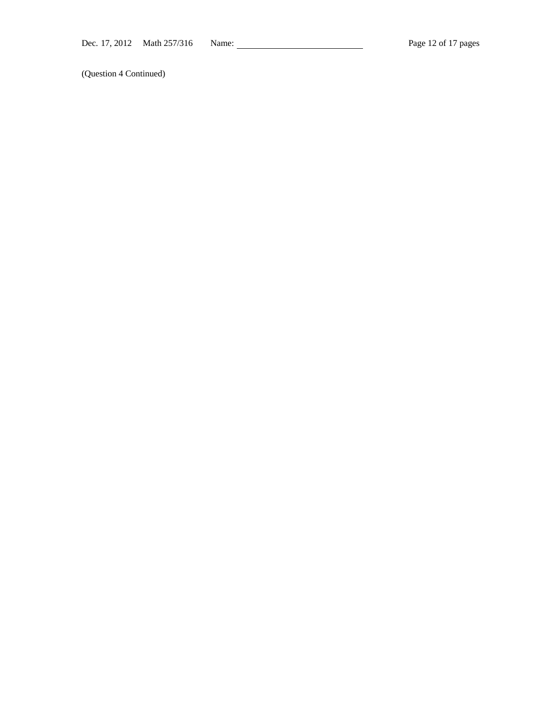(Question 4 Continued)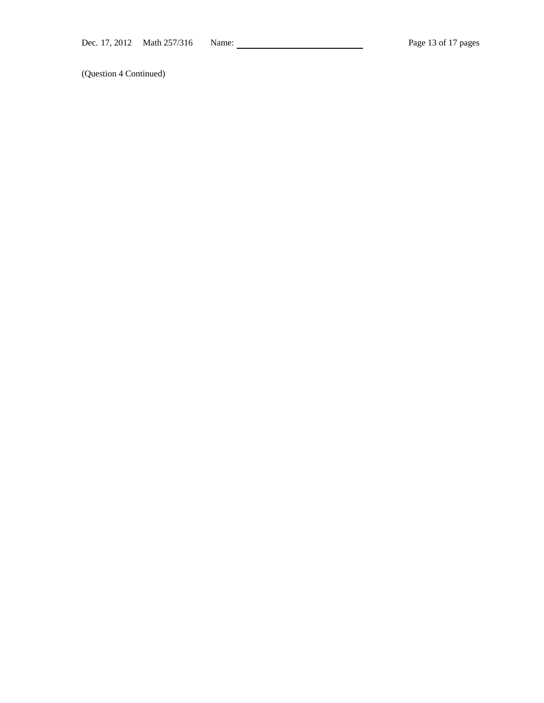(Question 4 Continued)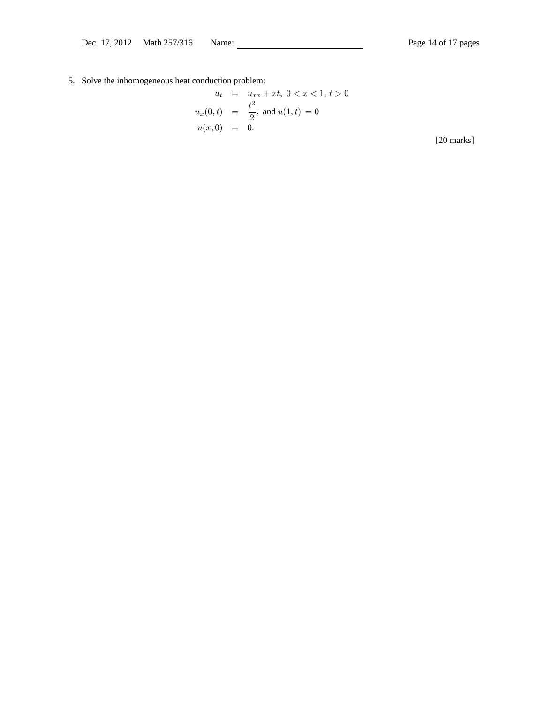5. Solve the inhomogeneous heat conduction problem:

$$
u_t = u_{xx} + xt, \ 0 < x < 1, \ t > 0
$$
  

$$
u_x(0, t) = \frac{t^2}{2}, \text{ and } u(1, t) = 0
$$
  

$$
u(x, 0) = 0.
$$

[20 marks]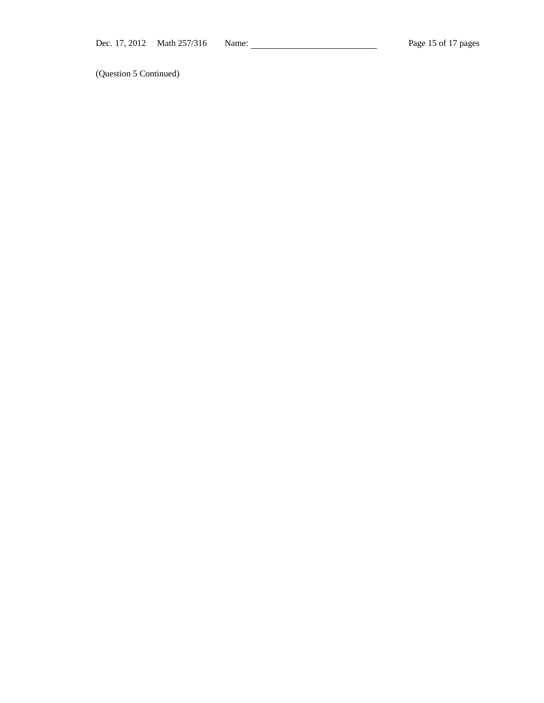(Question 5 Continued)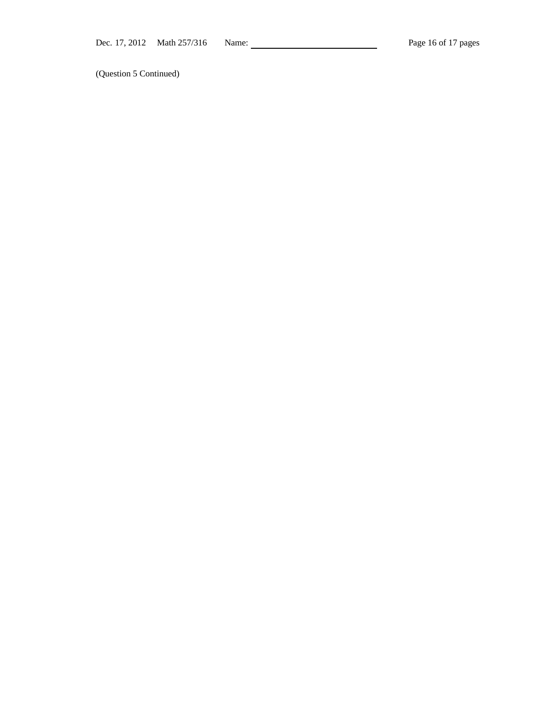(Question 5 Continued)